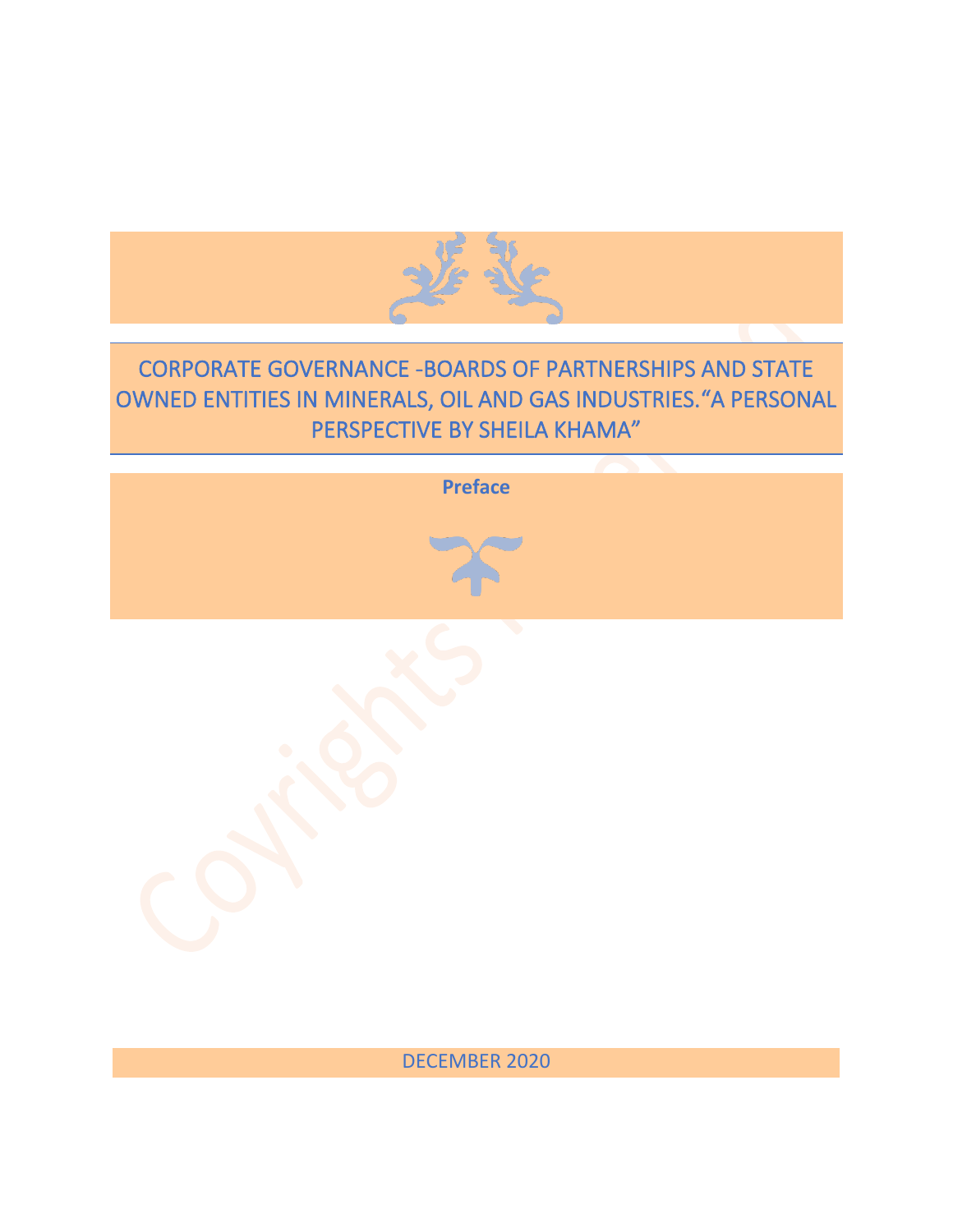

## CORPORATE GOVERNANCE -BOARDS OF PARTNERSHIPS AND STATE OWNED ENTITIES IN MINERALS, OIL AND GAS INDUSTRIES."A PERSONAL PERSPECTIVE BY SHEILA KHAMA"

| Preface                   |
|---------------------------|
|                           |
| $\ddot{\phantom{0}}$<br>Ċ |

DECEMBER 2020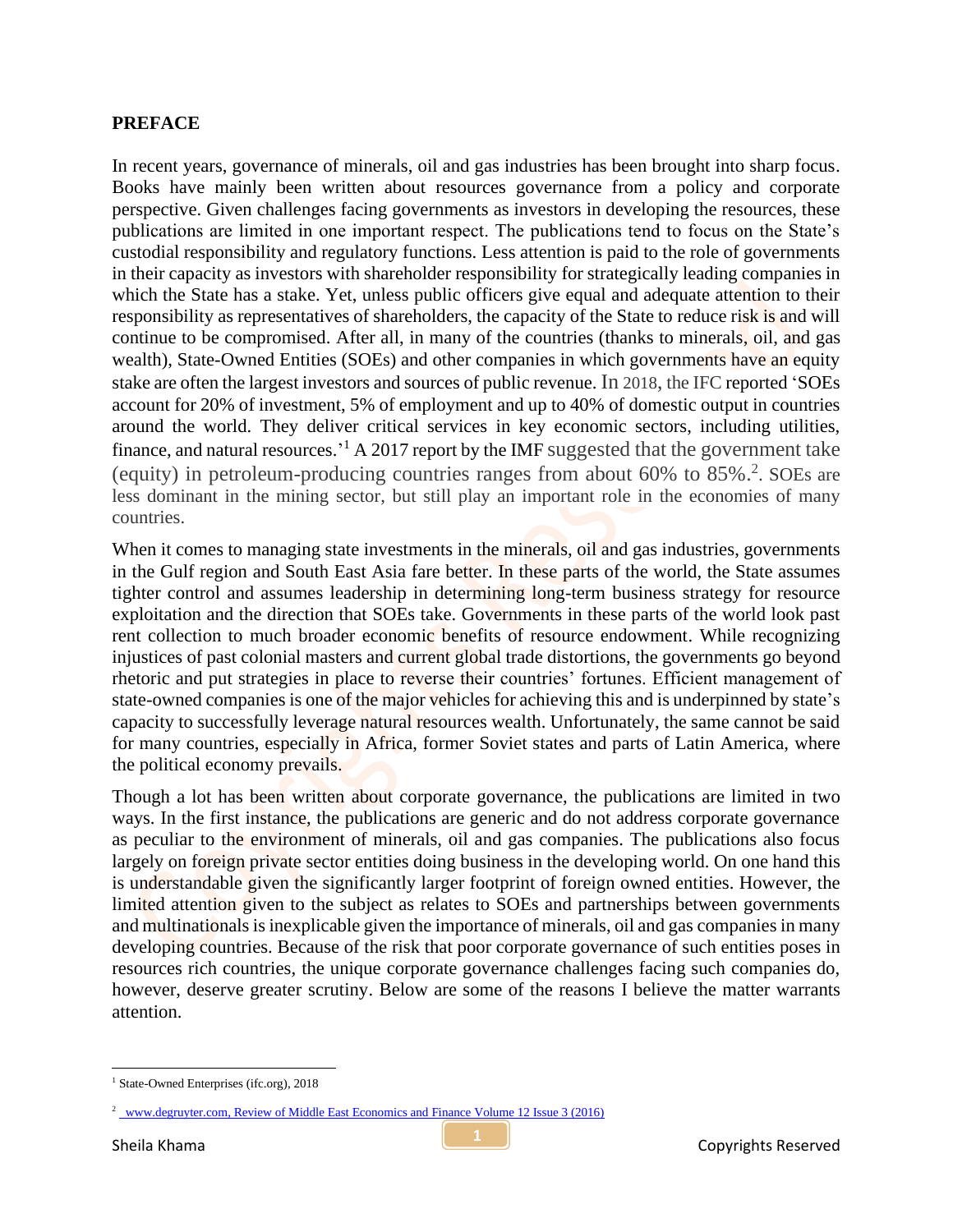## **PREFACE**

In recent years, governance of minerals, oil and gas industries has been brought into sharp focus. Books have mainly been written about resources governance from a policy and corporate perspective. Given challenges facing governments as investors in developing the resources, these publications are limited in one important respect. The publications tend to focus on the State's custodial responsibility and regulatory functions. Less attention is paid to the role of governments in their capacity as investors with shareholder responsibility for strategically leading companies in which the State has a stake. Yet, unless public officers give equal and adequate attention to their responsibility as representatives of shareholders, the capacity of the State to reduce risk is and will continue to be compromised. After all, in many of the countries (thanks to minerals, oil, and gas wealth), State-Owned Entities (SOEs) and other companies in which governments have an equity stake are often the largest investors and sources of public revenue. In 2018, the IFC reported 'SOEs account for 20% of investment, 5% of employment and up to 40% of domestic output in countries around the world. They deliver critical services in key economic sectors, including utilities, finance, and natural resources.<sup>1</sup> A 2017 report by the IMF suggested that the government take (equity) in petroleum-producing countries ranges from about 60% to 85%. 2 . SOEs are less dominant in the mining sector, but still play an important role in the economies of many countries.

When it comes to managing state investments in the minerals, oil and gas industries, governments in the Gulf region and South East Asia fare better. In these parts of the world, the State assumes tighter control and assumes leadership in determining long-term business strategy for resource exploitation and the direction that SOEs take. Governments in these parts of the world look past rent collection to much broader economic benefits of resource endowment. While recognizing injustices of past colonial masters and current global trade distortions, the governments go beyond rhetoric and put strategies in place to reverse their countries' fortunes. Efficient management of state-owned companies is one of the major vehicles for achieving this and is underpinned by state's capacity to successfully leverage natural resources wealth. Unfortunately, the same cannot be said for many countries, especially in Africa, former Soviet states and parts of Latin America, where the political economy prevails.

Though a lot has been written about corporate governance, the publications are limited in two ways. In the first instance, the publications are generic and do not address corporate governance as peculiar to the environment of minerals, oil and gas companies. The publications also focus largely on foreign private sector entities doing business in the developing world. On one hand this is understandable given the significantly larger footprint of foreign owned entities. However, the limited attention given to the subject as relates to SOEs and partnerships between governments and multinationals is inexplicable given the importance of minerals, oil and gas companies in many developing countries. Because of the risk that poor corporate governance of such entities poses in resources rich countries, the unique corporate governance challenges facing such companies do, however, deserve greater scrutiny. Below are some of the reasons I believe the matter warrants attention.

<sup>&</sup>lt;sup>1</sup> [State-Owned Enterprises \(ifc.org\),](https://www.ifc.org/wps/wcm/connect/topics_ext_content/ifc_external_corporate_site/ifc+cg/topics/state-owned+enterprises) 2018

<sup>&</sup>lt;sup>2</sup> www.degruyter.com, Review of Middle East Economics and Finance Volume 12 Issue 3 (2016)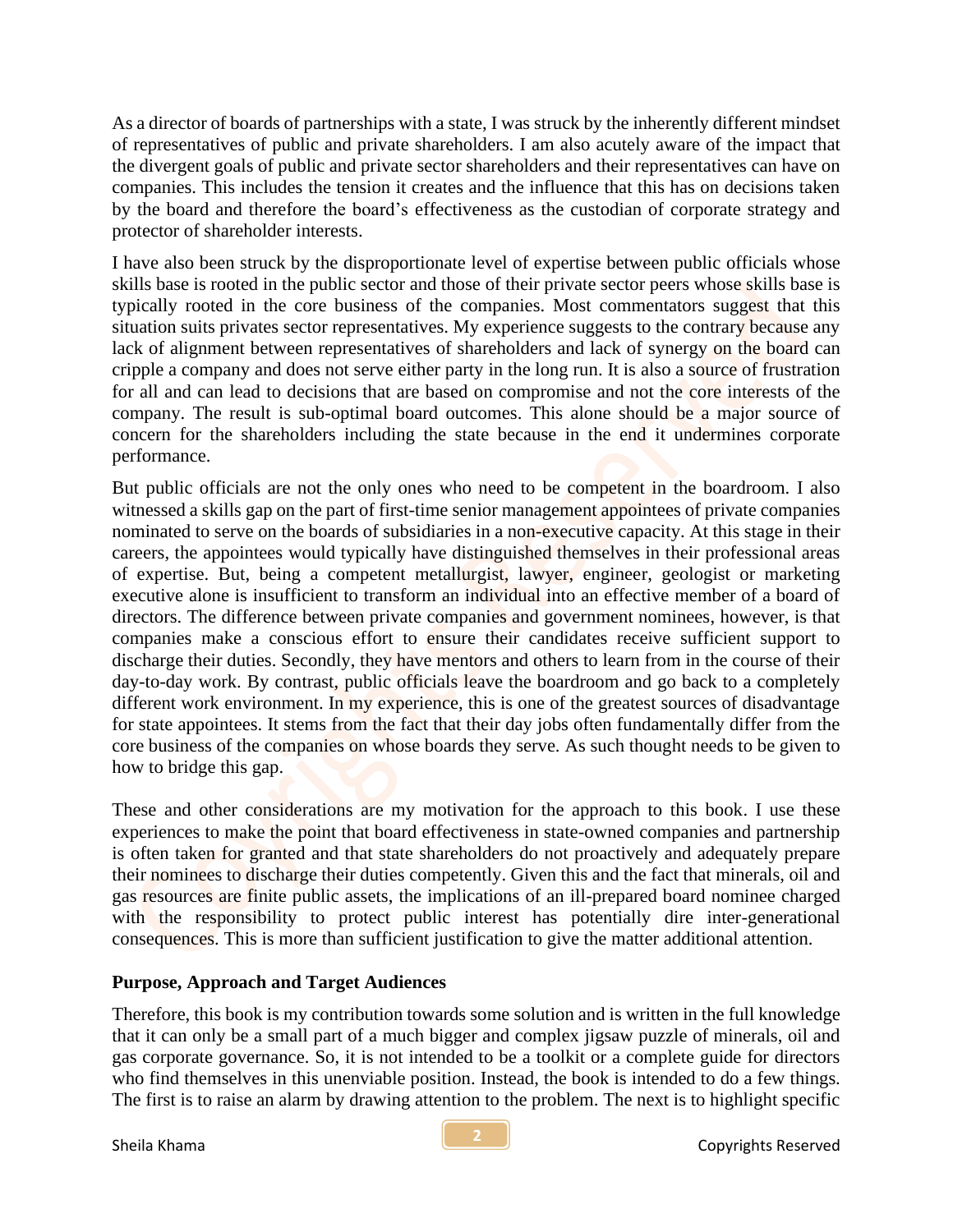As a director of boards of partnerships with a state, I was struck by the inherently different mindset of representatives of public and private shareholders. I am also acutely aware of the impact that the divergent goals of public and private sector shareholders and their representatives can have on companies. This includes the tension it creates and the influence that this has on decisions taken by the board and therefore the board's effectiveness as the custodian of corporate strategy and protector of shareholder interests.

I have also been struck by the disproportionate level of expertise between public officials whose skills base is rooted in the public sector and those of their private sector peers whose skills base is typically rooted in the core business of the companies. Most commentators suggest that this situation suits privates sector representatives. My experience suggests to the contrary because any lack of alignment between representatives of shareholders and lack of synergy on the board can cripple a company and does not serve either party in the long run. It is also a source of frustration for all and can lead to decisions that are based on compromise and not the core interests of the company. The result is sub-optimal board outcomes. This alone should be a major source of concern for the shareholders including the state because in the end it undermines corporate performance.

But public officials are not the only ones who need to be competent in the boardroom. I also witnessed a skills gap on the part of first-time senior management appointees of private companies nominated to serve on the boards of subsidiaries in a non-executive capacity. At this stage in their careers, the appointees would typically have distinguished themselves in their professional areas of expertise. But, being a competent metallurgist, lawyer, engineer, geologist or marketing executive alone is insufficient to transform an individual into an effective member of a board of directors. The difference between private companies and government nominees, however, is that companies make a conscious effort to ensure their candidates receive sufficient support to discharge their duties. Secondly, they have mentors and others to learn from in the course of their day-to-day work. By contrast, public officials leave the boardroom and go back to a completely different work environment. In my experience, this is one of the greatest sources of disadvantage for state appointees. It stems from the fact that their day jobs often fundamentally differ from the core business of the companies on whose boards they serve. As such thought needs to be given to how to bridge this gap.

These and other considerations are my motivation for the approach to this book. I use these experiences to make the point that board effectiveness in state-owned companies and partnership is often taken for granted and that state shareholders do not proactively and adequately prepare their nominees to discharge their duties competently. Given this and the fact that minerals, oil and gas resources are finite public assets, the implications of an ill-prepared board nominee charged with the responsibility to protect public interest has potentially dire inter-generational consequences. This is more than sufficient justification to give the matter additional attention.

## **Purpose, Approach and Target Audiences**

Therefore, this book is my contribution towards some solution and is written in the full knowledge that it can only be a small part of a much bigger and complex jigsaw puzzle of minerals, oil and gas corporate governance. So, it is not intended to be a toolkit or a complete guide for directors who find themselves in this unenviable position. Instead, the book is intended to do a few things. The first is to raise an alarm by drawing attention to the problem. The next is to highlight specific